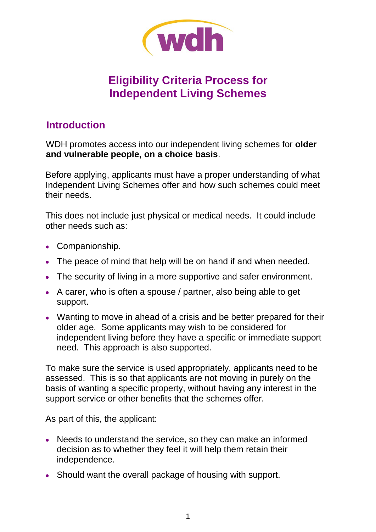

# **Eligibility Criteria Process for Independent Living Schemes**

### **Introduction**

WDH promotes access into our independent living schemes for **older and vulnerable people, on a choice basis**.

Before applying, applicants must have a proper understanding of what Independent Living Schemes offer and how such schemes could meet their needs.

This does not include just physical or medical needs. It could include other needs such as:

- Companionship.
- The peace of mind that help will be on hand if and when needed.
- The security of living in a more supportive and safer environment.
- A carer, who is often a spouse / partner, also being able to get support.
- Wanting to move in ahead of a crisis and be better prepared for their older age. Some applicants may wish to be considered for independent living before they have a specific or immediate support need.This approach is also supported.

To make sure the service is used appropriately, applicants need to be assessed. This is so that applicants are not moving in purely on the basis of wanting a specific property, without having any interest in the support service or other benefits that the schemes offer.

As part of this, the applicant:

- Needs to understand the service, so they can make an informed decision as to whether they feel it will help them retain their independence.
- Should want the overall package of housing with support.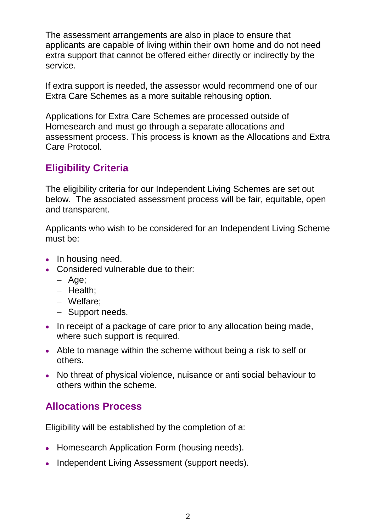The assessment arrangements are also in place to ensure that applicants are capable of living within their own home and do not need extra support that cannot be offered either directly or indirectly by the service.

If extra support is needed, the assessor would recommend one of our Extra Care Schemes as a more suitable rehousing option.

Applications for Extra Care Schemes are processed outside of Homesearch and must go through a separate allocations and assessment process. This process is known as the Allocations and Extra Care Protocol.

# **Eligibility Criteria**

The eligibility criteria for our Independent Living Schemes are set out below. The associated assessment process will be fair, equitable, open and transparent.

Applicants who wish to be considered for an Independent Living Scheme must be:

- In housing need.
- Considered vulnerable due to their:
	- Age:
	- $-$  Health;
	- Welfare;
	- Support needs.
- In receipt of a package of care prior to any allocation being made, where such support is required.
- Able to manage within the scheme without being a risk to self or others.
- No threat of physical violence, nuisance or anti social behaviour to others within the scheme.

### **Allocations Process**

Eligibility will be established by the completion of a:

- Homesearch Application Form (housing needs).
- Independent Living Assessment (support needs).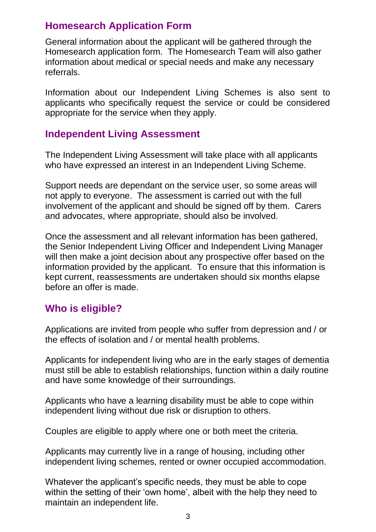# **Homesearch Application Form**

General information about the applicant will be gathered through the Homesearch application form. The Homesearch Team will also gather information about medical or special needs and make any necessary referrals.

Information about our Independent Living Schemes is also sent to applicants who specifically request the service or could be considered appropriate for the service when they apply.

### **Independent Living Assessment**

The Independent Living Assessment will take place with all applicants who have expressed an interest in an Independent Living Scheme.

Support needs are dependant on the service user, so some areas will not apply to everyone. The assessment is carried out with the full involvement of the applicant and should be signed off by them. Carers and advocates, where appropriate, should also be involved.

Once the assessment and all relevant information has been gathered, the Senior Independent Living Officer and Independent Living Manager will then make a joint decision about any prospective offer based on the information provided by the applicant. To ensure that this information is kept current, reassessments are undertaken should six months elapse before an offer is made.

### **Who is eligible?**

Applications are invited from people who suffer from depression and / or the effects of isolation and / or mental health problems.

Applicants for independent living who are in the early stages of dementia must still be able to establish relationships, function within a daily routine and have some knowledge of their surroundings.

Applicants who have a learning disability must be able to cope within independent living without due risk or disruption to others.

Couples are eligible to apply where one or both meet the criteria.

Applicants may currently live in a range of housing, including other independent living schemes, rented or owner occupied accommodation.

Whatever the applicant's specific needs, they must be able to cope within the setting of their 'own home', albeit with the help they need to maintain an independent life.